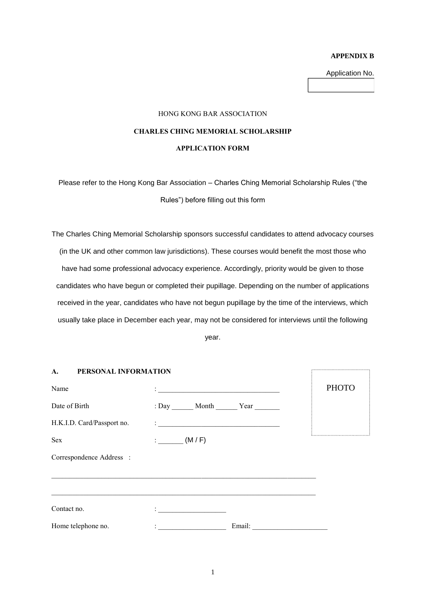#### **APPENDIX B**

Application No.

#### HONG KONG BAR ASSOCIATION

# **CHARLES CHING MEMORIAL SCHOLARSHIP**

#### **APPLICATION FORM**

Please refer to the Hong Kong Bar Association – Charles Ching Memorial Scholarship Rules ("the Rules") before filling out this form

The Charles Ching Memorial Scholarship sponsors successful candidates to attend advocacy courses (in the UK and other common law jurisdictions). These courses would benefit the most those who have had some professional advocacy experience. Accordingly, priority would be given to those candidates who have begun or completed their pupillage. Depending on the number of applications received in the year, candidates who have not begun pupillage by the time of the interviews, which usually take place in December each year, may not be considered for interviews until the following

year.

| PERSONAL INFORMATION<br>A. |                                                                                                                                                                                                                                |              |
|----------------------------|--------------------------------------------------------------------------------------------------------------------------------------------------------------------------------------------------------------------------------|--------------|
| Name                       | <u> 1989 - Andrea Andrew Maria (h. 1989).</u>                                                                                                                                                                                  | <b>PHOTO</b> |
| Date of Birth              | : Day ________ Month _________ Year ________                                                                                                                                                                                   |              |
| H.K.I.D. Card/Passport no. |                                                                                                                                                                                                                                |              |
| Sex                        | (M/F)                                                                                                                                                                                                                          |              |
| Correspondence Address :   |                                                                                                                                                                                                                                |              |
|                            |                                                                                                                                                                                                                                |              |
| Contact no.                | <u> 1989 - Johann Harry Barn, mars ar breist ar breist ar breist ar breist ar breist ar breist ar breist ar breis</u>                                                                                                          |              |
| Home telephone no.         | Email: The Communication of the Communication of the Communication of the Communication of the Communication of the Communication of the Communication of the Communication of the Communication of the Communication of the C |              |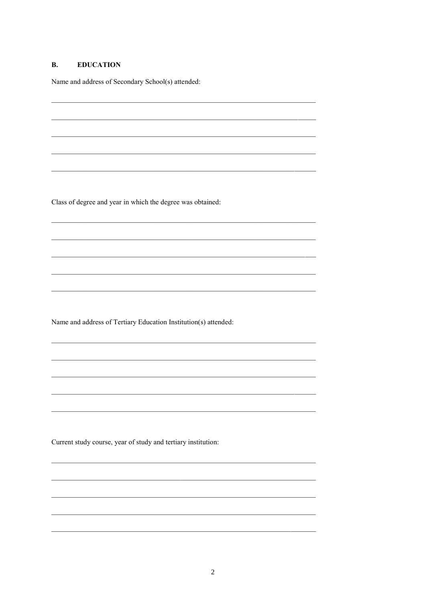#### **B. EDUCATION**

Name and address of Secondary School(s) attended:

Class of degree and year in which the degree was obtained:

Name and address of Tertiary Education Institution(s) attended:

Current study course, year of study and tertiary institution: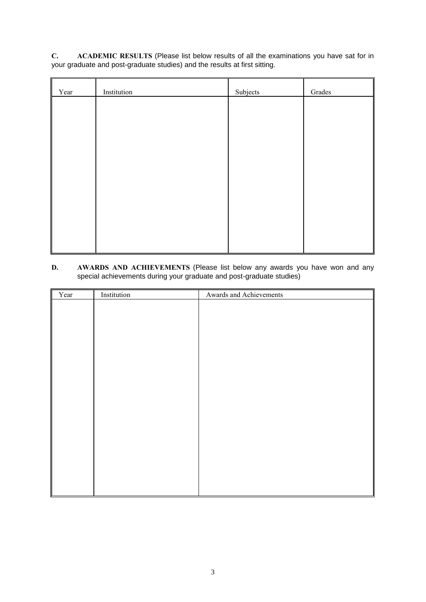**C. ACADEMIC RESULTS** (Please list below results of all the examinations you have sat for in your graduate and post-graduate studies) and the results at first sitting.

| Year | Institution | Subjects | Grades |
|------|-------------|----------|--------|
|      |             |          |        |
|      |             |          |        |
|      |             |          |        |
|      |             |          |        |
|      |             |          |        |
|      |             |          |        |
|      |             |          |        |
|      |             |          |        |
|      |             |          |        |

## **D. AWARDS AND ACHIEVEMENTS** (Please list below any awards you have won and any special achievements during your graduate and post-graduate studies)

 $\mathbf{r}$ 

l.

| Year<br>II | Institution | Awards and Achievements |
|------------|-------------|-------------------------|
|            |             |                         |
|            |             |                         |
|            |             |                         |
|            |             |                         |
|            |             |                         |
|            |             |                         |
|            |             |                         |
|            |             |                         |
|            |             |                         |
|            |             |                         |
|            |             |                         |
|            |             |                         |
|            |             |                         |
|            |             |                         |
|            |             |                         |
|            |             |                         |
|            |             |                         |
|            |             |                         |
|            |             |                         |
|            |             |                         |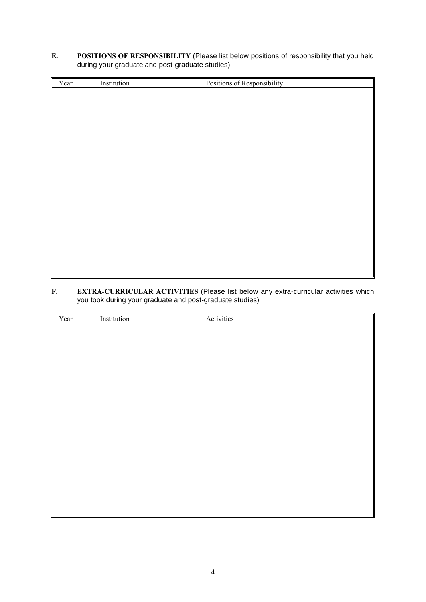# **E. POSITIONS OF RESPONSIBILITY** (Please list below positions of responsibility that you held during your graduate and post-graduate studies)

| Year | Institution | Positions of Responsibility |
|------|-------------|-----------------------------|
|      |             |                             |
|      |             |                             |
|      |             |                             |
|      |             |                             |
|      |             |                             |
|      |             |                             |
|      |             |                             |
|      |             |                             |
|      |             |                             |
|      |             |                             |
|      |             |                             |
|      |             |                             |
|      |             |                             |
|      |             |                             |
|      |             |                             |
|      |             |                             |
|      |             |                             |
|      |             |                             |
|      |             |                             |

# **F. EXTRA-CURRICULAR ACTIVITIES** (Please list below any extra-curricular activities which you took during your graduate and post-graduate studies)

| Year | Institution | Activities |
|------|-------------|------------|
|      |             |            |
|      |             |            |
|      |             |            |
|      |             |            |
|      |             |            |
|      |             |            |
|      |             |            |
|      |             |            |
|      |             |            |
|      |             |            |
|      |             |            |
|      |             |            |
|      |             |            |
|      |             |            |
|      |             |            |
|      |             |            |
|      |             |            |
|      |             |            |
|      |             |            |
|      |             |            |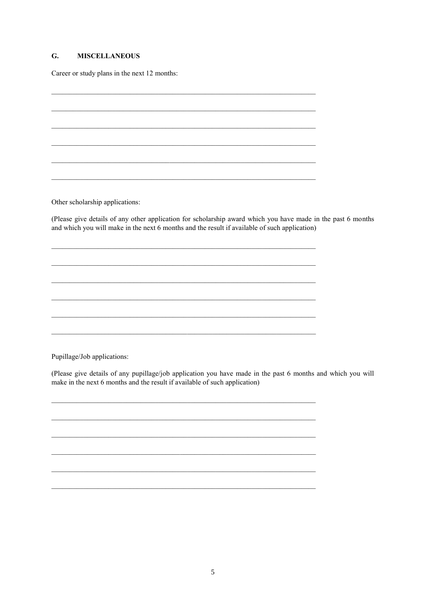#### $\mathbf{G}$ . **MISCELLANEOUS**

Career or study plans in the next 12 months:

Other scholarship applications:

(Please give details of any other application for scholarship award which you have made in the past 6 months and which you will make in the next 6 months and the result if available of such application)

Pupillage/Job applications:

(Please give details of any pupillage/job application you have made in the past 6 months and which you will make in the next 6 months and the result if available of such application)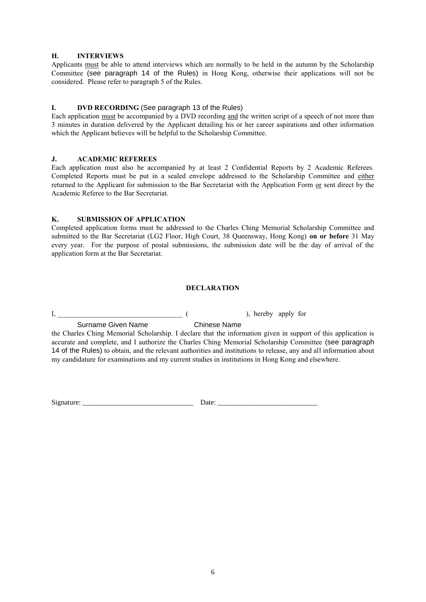## **H. INTERVIEWS**

Applicants must be able to attend interviews which are normally to be held in the autumn by the Scholarship Committee (see paragraph 14 of the Rules) in Hong Kong, otherwise their applications will not be considered. Please refer to paragraph 5 of the Rules.

## **I. DVD RECORDING** (See paragraph 13 of the Rules)

Each application must be accompanied by a DVD recording and the written script of a speech of not more than 3 minutes in duration delivered by the Applicant detailing his or her career aspirations and other information which the Applicant believes will be helpful to the Scholarship Committee.

#### **J. ACADEMIC REFEREES**

Each application must also be accompanied by at least 2 Confidential Reports by 2 Academic Referees. Completed Reports must be put in a sealed envelope addressed to the Scholarship Committee and either returned to the Applicant for submission to the Bar Secretariat with the Application Form or sent direct by the Academic Referee to the Bar Secretariat.

## **K. SUBMISSION OF APPLICATION**

Completed application forms must be addressed to the Charles Ching Memorial Scholarship Committee and submitted to the Bar Secretariat (LG2 Floor, High Court, 38 Queensway, Hong Kong) **on or before** 31 May every year. For the purpose of postal submissions, the submission date will be the day of arrival of the application form at the Bar Secretariat.

## **DECLARATION**

I, \_\_\_\_\_\_\_\_\_\_\_\_\_\_\_\_\_\_\_\_\_\_\_\_\_\_\_\_\_\_\_\_\_\_\_ ( ), hereby apply for

Surname Given Name Chinese Name

the Charles Ching Memorial Scholarship. I declare that the information given in support of this application is accurate and complete, and I authorize the Charles Ching Memorial Scholarship Committee (see paragraph 14 of the Rules) to obtain, and the relevant authorities and institutions to release, any and all information about my candidature for examinations and my current studies in institutions in Hong Kong and elsewhere.

Signature: \_\_\_\_\_\_\_\_\_\_\_\_\_\_\_\_\_\_\_\_\_\_\_\_\_\_\_\_\_\_\_ Date: \_\_\_\_\_\_\_\_\_\_\_\_\_\_\_\_\_\_\_\_\_\_\_\_\_\_\_\_